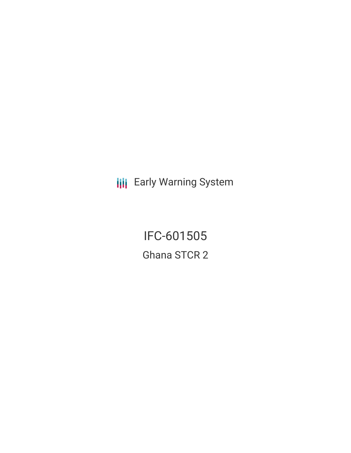**III** Early Warning System

IFC-601505 Ghana STCR 2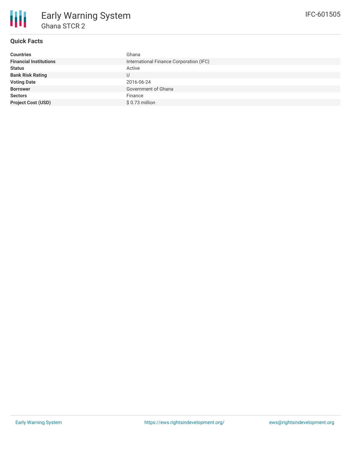

# **Quick Facts**

| <b>Countries</b>              | Ghana                                   |
|-------------------------------|-----------------------------------------|
| <b>Financial Institutions</b> | International Finance Corporation (IFC) |
| <b>Status</b>                 | Active                                  |
| <b>Bank Risk Rating</b>       | U                                       |
| <b>Voting Date</b>            | 2016-06-24                              |
| <b>Borrower</b>               | Government of Ghana                     |
| <b>Sectors</b>                | Finance                                 |
| <b>Project Cost (USD)</b>     | $$0.73$ million                         |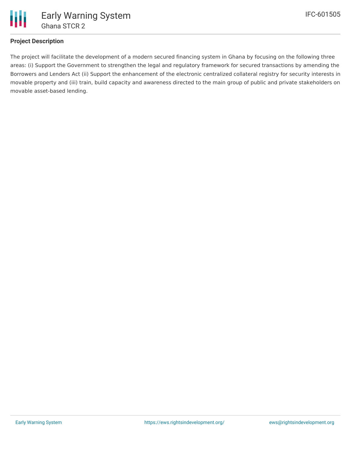

# **Project Description**

The project will facilitate the development of a modern secured financing system in Ghana by focusing on the following three areas: (i) Support the Government to strengthen the legal and regulatory framework for secured transactions by amending the Borrowers and Lenders Act (ii) Support the enhancement of the electronic centralized collateral registry for security interests in movable property and (iii) train, build capacity and awareness directed to the main group of public and private stakeholders on movable asset-based lending.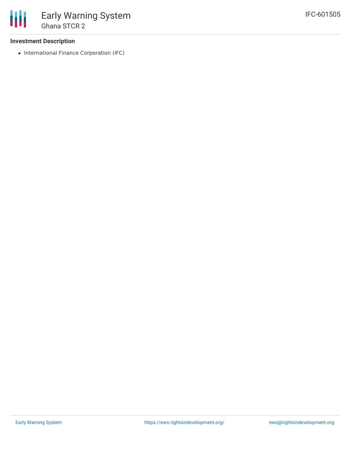### **Investment Description**

• International Finance Corporation (IFC)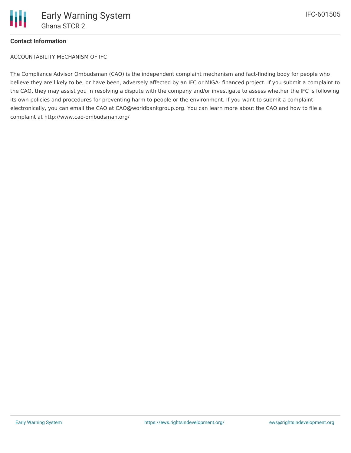

# **Contact Information**

ACCOUNTABILITY MECHANISM OF IFC

The Compliance Advisor Ombudsman (CAO) is the independent complaint mechanism and fact-finding body for people who believe they are likely to be, or have been, adversely affected by an IFC or MIGA- financed project. If you submit a complaint to the CAO, they may assist you in resolving a dispute with the company and/or investigate to assess whether the IFC is following its own policies and procedures for preventing harm to people or the environment. If you want to submit a complaint electronically, you can email the CAO at CAO@worldbankgroup.org. You can learn more about the CAO and how to file a complaint at http://www.cao-ombudsman.org/